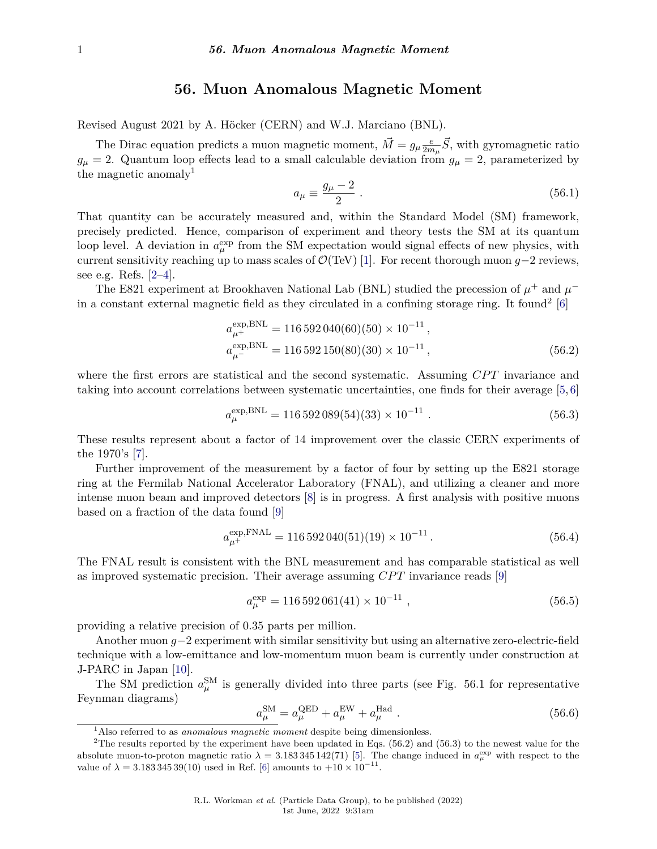## **56. Muon Anomalous Magnetic Moment**

Revised August 2021 by A. Höcker (CERN) and W.J. Marciano (BNL).

The Dirac equation predicts a muon magnetic moment,  $\vec{M} = g_{\mu} \frac{e}{2m}$  $\frac{e}{2m_{\mu}}\vec{S}$ , with gyromagnetic ratio  $g_{\mu} = 2$ . Quantum loop effects lead to a small calculable deviation from  $g_{\mu} = 2$ , parameterized by the magnetic anomaly<sup>[1](#page-0-0)</sup>

$$
a_{\mu} \equiv \frac{g_{\mu} - 2}{2} \tag{56.1}
$$

That quantity can be accurately measured and, within the Standard Model (SM) framework, precisely predicted. Hence, comparison of experiment and theory tests the SM at its quantum loop level. A deviation in  $a_{\mu}^{\text{exp}}$  from the SM expectation would signal effects of new physics, with current sensitivity reaching up to mass scales of O(TeV) [\[1\]](#page-4-0). For recent thorough muon *g*−2 reviews, see e.g. Refs. [\[2–](#page-4-1)[4\]](#page-5-0).

The E821 experiment at Brookhaven National Lab (BNL) studied the precession of  $\mu^+$  and  $\mu^-$ in a constant external magnetic field as they circulated in a confining storage ring. It found<sup>[2](#page-0-1)</sup> [\[6\]](#page-5-1)

$$
a_{\mu^{+}}^{\exp,\text{BNL}} = 116\,592\,040(60)(50) \times 10^{-11},
$$
  
\n
$$
a_{\mu^{-}}^{\exp,\text{BNL}} = 116\,592\,150(80)(30) \times 10^{-11},
$$
\n(56.2)

where the first errors are statistical and the second systematic. Assuming *CPT* invariance and taking into account correlations between systematic uncertainties, one finds for their average [\[5,](#page-5-2) [6\]](#page-5-1)

$$
a_{\mu}^{\exp,\text{BNL}} = 116\,592\,089(54)(33) \times 10^{-11} \tag{56.3}
$$

These results represent about a factor of 14 improvement over the classic CERN experiments of the 1970's [\[7\]](#page-5-3).

Further improvement of the measurement by a factor of four by setting up the E821 storage ring at the Fermilab National Accelerator Laboratory (FNAL), and utilizing a cleaner and more intense muon beam and improved detectors [\[8\]](#page-5-4) is in progress. A first analysis with positive muons based on a fraction of the data found [\[9\]](#page-5-5)

$$
a_{\mu^{+}}^{\exp, \text{FNAL}} = 116\,592\,040(51)(19) \times 10^{-11} \,. \tag{56.4}
$$

The FNAL result is consistent with the BNL measurement and has comparable statistical as well as improved systematic precision. Their average assuming *CPT* invariance reads [\[9\]](#page-5-5)

$$
a_{\mu}^{\exp} = 116\,592\,061(41) \times 10^{-11} \tag{56.5}
$$

providing a relative precision of 0.35 parts per million.

Another muon *g*−2 experiment with similar sensitivity but using an alternative zero-electric-field technique with a low-emittance and low-momentum muon beam is currently under construction at J-PARC in Japan [\[10\]](#page-5-6).

The SM prediction  $a_{\mu}^{\text{SM}}$  is generally divided into three parts (see Fig. 56.1 for representative Feynman diagrams)

$$
a_{\mu}^{\text{SM}} = a_{\mu}^{\text{QED}} + a_{\mu}^{\text{EW}} + a_{\mu}^{\text{Had}} \,. \tag{56.6}
$$

<span id="page-0-1"></span><span id="page-0-0"></span><sup>&</sup>lt;sup>1</sup>Also referred to as *anomalous magnetic moment* despite being dimensionless.

<sup>&</sup>lt;sup>2</sup>The results reported by the experiment have been updated in Eqs. (56.2) and (56.3) to the newest value for the absolute muon-to-proton magnetic ratio  $\lambda = 3.183345142(71)$  [\[5\]](#page-5-2). The change induced in  $a_\mu^{\text{exp}}$  with respect to the value of  $\lambda = 3.18334539(10)$  used in Ref. [\[6\]](#page-5-1) amounts to  $+10 \times 10^{-11}$ .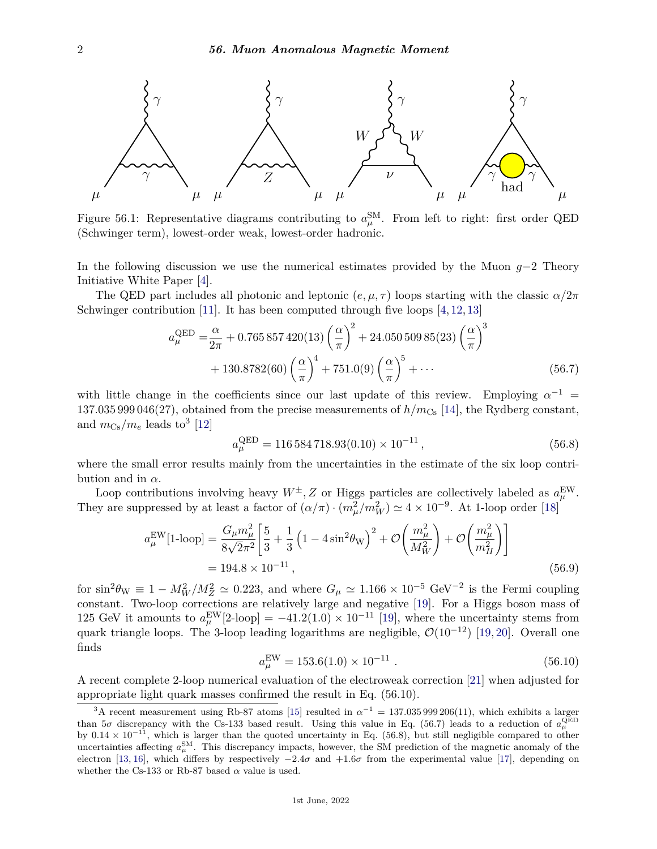

Figure 56.1: Representative diagrams contributing to  $a_{\mu}^{\text{SM}}$ . From left to right: first order QED (Schwinger term), lowest-order weak, lowest-order hadronic.

In the following discussion we use the numerical estimates provided by the Muon *g*−2 Theory Initiative White Paper [\[4\]](#page-5-0).

The QED part includes all photonic and leptonic  $(e, \mu, \tau)$  loops starting with the classic  $\alpha/2\pi$ Schwinger contribution [\[11\]](#page-5-7). It has been computed through five loops  $[4, 12, 13]$  $[4, 12, 13]$  $[4, 12, 13]$  $[4, 12, 13]$  $[4, 12, 13]$ 

$$
a_{\mu}^{\text{QED}} = \frac{\alpha}{2\pi} + 0.765857420(13) \left(\frac{\alpha}{\pi}\right)^2 + 24.05050985(23) \left(\frac{\alpha}{\pi}\right)^3 + 130.8782(60) \left(\frac{\alpha}{\pi}\right)^4 + 751.0(9) \left(\frac{\alpha}{\pi}\right)^5 + \dots
$$
 (56.7)

with little change in the coefficients since our last update of this review. Employing  $\alpha^{-1}$  = 137.035 999 046(27), obtained from the precise measurements of  $h/m_{\text{Cs}}$  [\[14\]](#page-5-10), the Rydberg constant, and  $m_{\text{Cs}}/m_e$  leads to<sup>[3](#page-1-0)</sup> [\[12\]](#page-5-8)

$$
a_{\mu}^{\text{QED}} = 116\,584\,718.93(0.10) \times 10^{-11},\tag{56.8}
$$

where the small error results mainly from the uncertainties in the estimate of the six loop contribution and in  $\alpha$ .

Loop contributions involving heavy  $W^{\pm}$ , Z or Higgs particles are collectively labeled as  $a_{\mu}^{\text{EW}}$ . They are suppressed by at least a factor of  $(\alpha/\pi) \cdot (m_\mu^2/m_W^2) \simeq 4 \times 10^{-9}$ . At 1-loop order [\[18\]](#page-5-11)

$$
a_{\mu}^{\text{EW}}[1\text{-loop}] = \frac{G_{\mu}m_{\mu}^{2}}{8\sqrt{2}\pi^{2}} \left[ \frac{5}{3} + \frac{1}{3} \left( 1 - 4\sin^{2}\theta_{\text{W}} \right)^{2} + \mathcal{O}\left(\frac{m_{\mu}^{2}}{M_{W}^{2}}\right) + \mathcal{O}\left(\frac{m_{\mu}^{2}}{m_{H}^{2}}\right) \right]
$$
  
= 194.8 × 10<sup>-11</sup>, (56.9)

for  $\sin^2\theta_W \equiv 1 - M_W^2/M_Z^2 \simeq 0.223$ , and where  $G_\mu \simeq 1.166 \times 10^{-5}$  GeV<sup>-2</sup> is the Fermi coupling constant. Two-loop corrections are relatively large and negative [\[19\]](#page-5-12). For a Higgs boson mass of 125 GeV it amounts to  $a_{\mu}^{\text{EW}}[2\text{-loop}] = -41.2(1.0) \times 10^{-11}$  [\[19\]](#page-5-12), where the uncertainty stems from quark triangle loops. The 3-loop leading logarithms are negligible,  $\mathcal{O}(10^{-12})$  [\[19,](#page-5-12) [20\]](#page-6-0). Overall one finds

$$
a_{\mu}^{\text{EW}} = 153.6(1.0) \times 10^{-11} \tag{56.10}
$$

A recent complete 2-loop numerical evaluation of the electroweak correction [\[21\]](#page-6-1) when adjusted for appropriate light quark masses confirmed the result in Eq. (56.10).

<span id="page-1-0"></span><sup>&</sup>lt;sup>3</sup>A recent measurement using Rb-87 atoms [\[15\]](#page-5-13) resulted in  $\alpha^{-1} = 137.035\,999\,206(11)$ , which exhibits a larger than  $5\sigma$  discrepancy with the Cs-133 based result. Using this value in Eq. (56.7) leads to a reduction of  $a_{\mu}^{\text{QED}}$ by  $0.14 \times 10^{-11}$ , which is larger than the quoted uncertainty in Eq. (56.8), but still negligible compared to other uncertainties affecting  $a_\mu^{\text{SM}}$ . This discrepancy impacts, however, the SM prediction of the magnetic anomaly of the electron [\[13,](#page-5-9) [16\]](#page-5-14), which differs by respectively  $-2.4\sigma$  and  $+1.6\sigma$  from the experimental value [\[17\]](#page-5-15), depending on whether the Cs-133 or Rb-87 based  $\alpha$  value is used.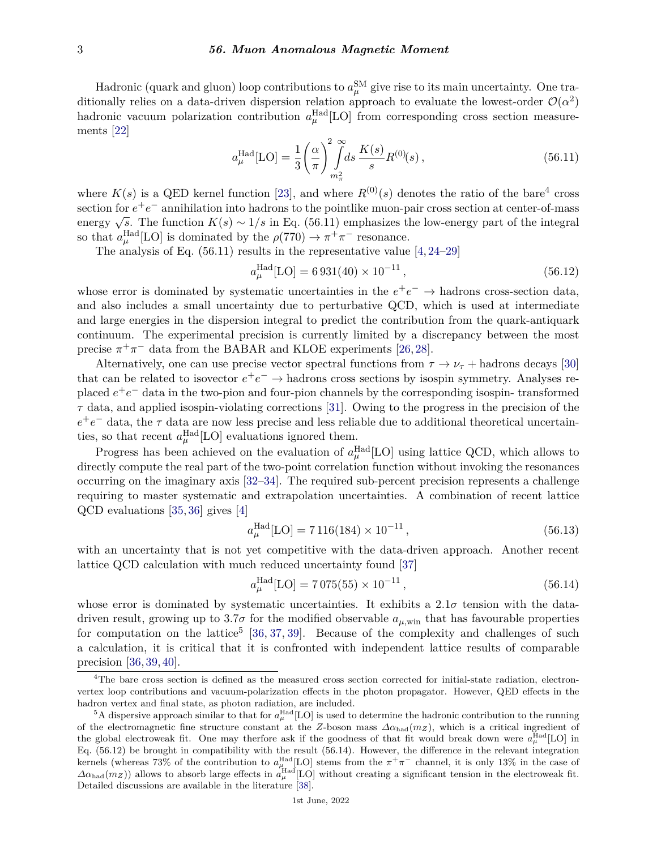Hadronic (quark and gluon) loop contributions to  $a_\mu^{\rm SM}$  give rise to its main uncertainty. One traditionally relies on a data-driven dispersion relation approach to evaluate the lowest-order  $\mathcal{O}(\alpha^2)$ hadronic vacuum polarization contribution  $a_{\mu}^{\text{Had}}[LO]$  from corresponding cross section measurements [\[22\]](#page-6-2)

$$
a_{\mu}^{\text{Had}}[\text{LO}] = \frac{1}{3} \left(\frac{\alpha}{\pi}\right)^2 \int_{m_{\pi}^2}^{\infty} ds \, \frac{K(s)}{s} R^{(0)}(s) \,, \tag{56.11}
$$

where  $K(s)$  is a QED kernel function [\[23\]](#page-6-3), and where  $R^{(0)}(s)$  denotes the ratio of the bare<sup>[4](#page-2-0)</sup> cross section for *e* +*e* <sup>−</sup> annihilation into hadrons to the pointlike muon-pair cross section at center-of-mass energy <sup>√</sup> *s*. The function *K*(*s*) ∼ 1*/s* in Eq. (56.11) emphasizes the low-energy part of the integral so that  $a_{\mu}^{\text{Had}}[\text{LO}]$  is dominated by the  $\rho(770) \to \pi^+\pi^-$  resonance.

The analysis of Eq. (56.11) results in the representative value [\[4,](#page-5-0) [24–](#page-6-4)[29\]](#page-6-5)

$$
a_{\mu}^{\text{Had}}[\text{LO}] = 6\,931(40) \times 10^{-11} \,, \tag{56.12}
$$

whose error is dominated by systematic uncertainties in the  $e^+e^- \rightarrow$  hadrons cross-section data, and also includes a small uncertainty due to perturbative QCD, which is used at intermediate and large energies in the dispersion integral to predict the contribution from the quark-antiquark continuum. The experimental precision is currently limited by a discrepancy between the most precise  $\pi^+\pi^-$  data from the BABAR and KLOE experiments [\[26,](#page-6-6) [28\]](#page-6-7).

Alternatively, one can use precise vector spectral functions from  $\tau \to \nu_{\tau}$  + hadrons decays [\[30\]](#page-6-8) that can be related to isovector  $e^+e^- \to$  hadrons cross sections by isospin symmetry. Analyses replaced  $e^+e^-$  data in the two-pion and four-pion channels by the corresponding isospin-transformed *τ* data, and applied isospin-violating corrections [\[31\]](#page-6-9). Owing to the progress in the precision of the  $e^+e^-$  data, the  $\tau$  data are now less precise and less reliable due to additional theoretical uncertainties, so that recent  $a_{\mu}^{\text{Had}}[\text{LO}]$  evaluations ignored them.

Progress has been achieved on the evaluation of  $a_{\mu}^{\text{Had}}[LO]$  using lattice QCD, which allows to directly compute the real part of the two-point correlation function without invoking the resonances occurring on the imaginary axis [\[32–](#page-6-10)[34\]](#page-6-11). The required sub-percent precision represents a challenge requiring to master systematic and extrapolation uncertainties. A combination of recent lattice QCD evaluations [\[35,](#page-6-12) [36\]](#page-6-13) gives [\[4\]](#page-5-0)

$$
a_{\mu}^{\text{Had}}[\text{LO}] = 7116(184) \times 10^{-11},\tag{56.13}
$$

with an uncertainty that is not yet competitive with the data-driven approach. Another recent lattice QCD calculation with much reduced uncertainty found [\[37\]](#page-6-14)

$$
a_{\mu}^{\text{Had}}[\text{LO}] = 7075(55) \times 10^{-11},\tag{56.14}
$$

whose error is dominated by systematic uncertainties. It exhibits a 2*.*1*σ* tension with the datadriven result, growing up to  $3.7\sigma$  for the modified observable  $a_{\mu,\text{win}}$  that has favourable properties for computation on the lattice<sup>[5](#page-2-1)</sup> [\[36,](#page-6-13) [37,](#page-6-14) [39\]](#page-6-15). Because of the complexity and challenges of such a calculation, it is critical that it is confronted with independent lattice results of comparable precision [\[36,](#page-6-13) [39,](#page-6-15) [40\]](#page-6-16).

<span id="page-2-0"></span><sup>&</sup>lt;sup>4</sup>The bare cross section is defined as the measured cross section corrected for initial-state radiation, electronvertex loop contributions and vacuum-polarization effects in the photon propagator. However, QED effects in the hadron vertex and final state, as photon radiation, are included.

<span id="page-2-1"></span><sup>&</sup>lt;sup>5</sup>A dispersive approach similar to that for  $a_\mu^{\text{Had}}$  [LO] is used to determine the hadronic contribution to the running of the electromagnetic fine structure constant at the *Z*-boson mass  $\Delta \alpha_{\text{had}}(m_Z)$ , which is a critical ingredient of the global electroweak fit. One may therfore ask if the goodness of that fit would break down were  $a_\mu^{\text{Had}}[LO]$  in Eq. (56.12) be brought in compatibility with the result (56.14). However, the difference in the relevant integration kernels (whereas 73% of the contribution to  $a_\mu^{\text{Had}}[\text{LO}]$  stems from the  $\pi^+\pi^-$  channel, it is only 13% in the case of  $\Delta\alpha_{\text{had}}(m_Z)$ ) allows to absorb large effects in  $a_\mu^{\text{Had}}[LO]$  without creating a significant tension in the electroweak fit. Detailed discussions are available in the literature [\[38\]](#page-6-17).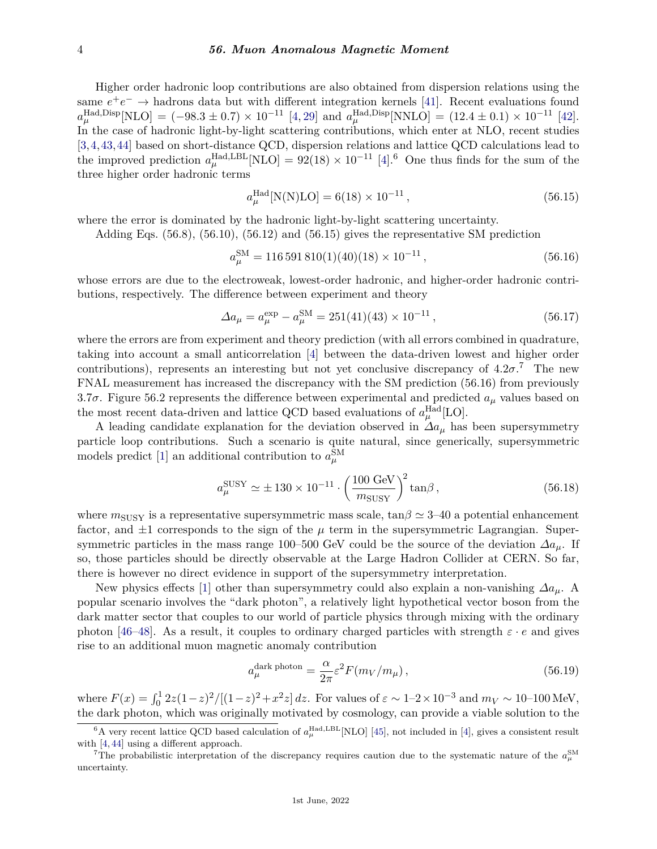## 4 *56. Muon Anomalous Magnetic Moment*

Higher order hadronic loop contributions are also obtained from dispersion relations using the same  $e^+e^- \to$  hadrons data but with different integration kernels [\[41\]](#page-6-18). Recent evaluations found  $a_{\mu}^{\text{Had},\text{Disp}}[\text{NLO}] = (-98.3 \pm 0.7) \times 10^{-11} [4, 29] \text{ and } a_{\mu}^{\text{Had},\text{Disp}}[\text{NNLO}] = (12.4 \pm 0.1) \times 10^{-11} [42].$  $a_{\mu}^{\text{Had},\text{Disp}}[\text{NLO}] = (-98.3 \pm 0.7) \times 10^{-11} [4, 29] \text{ and } a_{\mu}^{\text{Had},\text{Disp}}[\text{NNLO}] = (12.4 \pm 0.1) \times 10^{-11} [42].$  $a_{\mu}^{\text{Had},\text{Disp}}[\text{NLO}] = (-98.3 \pm 0.7) \times 10^{-11} [4, 29] \text{ and } a_{\mu}^{\text{Had},\text{Disp}}[\text{NNLO}] = (12.4 \pm 0.1) \times 10^{-11} [42].$  $a_{\mu}^{\text{Had},\text{Disp}}[\text{NLO}] = (-98.3 \pm 0.7) \times 10^{-11} [4, 29] \text{ and } a_{\mu}^{\text{Had},\text{Disp}}[\text{NNLO}] = (12.4 \pm 0.1) \times 10^{-11} [42].$  $a_{\mu}^{\text{Had},\text{Disp}}[\text{NLO}] = (-98.3 \pm 0.7) \times 10^{-11} [4, 29] \text{ and } a_{\mu}^{\text{Had},\text{Disp}}[\text{NNLO}] = (12.4 \pm 0.1) \times 10^{-11} [42].$  $a_{\mu}^{\text{Had},\text{Disp}}[\text{NLO}] = (-98.3 \pm 0.7) \times 10^{-11} [4, 29] \text{ and } a_{\mu}^{\text{Had},\text{Disp}}[\text{NNLO}] = (12.4 \pm 0.1) \times 10^{-11} [42].$  $a_{\mu}^{\text{Had},\text{Disp}}[\text{NLO}] = (-98.3 \pm 0.7) \times 10^{-11} [4, 29] \text{ and } a_{\mu}^{\text{Had},\text{Disp}}[\text{NNLO}] = (12.4 \pm 0.1) \times 10^{-11} [42].$ In the case of hadronic light-by-light scattering contributions, which enter at NLO, recent studies [\[3,](#page-5-16)[4,](#page-5-0)[43,](#page-6-20)[44\]](#page-7-0) based on short-distance QCD, dispersion relations and lattice QCD calculations lead to the improved prediction  $a_{\mu}^{\text{Had, LBL}}[NLO] = 92(18) \times 10^{-11}$  [\[4\]](#page-5-0).<sup>[6](#page-3-0)</sup> One thus finds for the sum of the three higher order hadronic terms

$$
a_{\mu}^{\text{Had}}[N(N)\text{LO}] = 6(18) \times 10^{-11},\tag{56.15}
$$

where the error is dominated by the hadronic light-by-light scattering uncertainty.

Adding Eqs. (56.8), (56.10), (56.12) and (56.15) gives the representative SM prediction

$$
a_{\mu}^{\text{SM}} = 116\,591\,810(1)(40)(18) \times 10^{-11} \,, \tag{56.16}
$$

whose errors are due to the electroweak, lowest-order hadronic, and higher-order hadronic contributions, respectively. The difference between experiment and theory

$$
\Delta a_{\mu} = a_{\mu}^{\exp} - a_{\mu}^{\rm SM} = 251(41)(43) \times 10^{-11}, \qquad (56.17)
$$

where the errors are from experiment and theory prediction (with all errors combined in quadrature, taking into account a small anticorrelation [\[4\]](#page-5-0) between the data-driven lowest and higher order contributions), represents an interesting but not yet conclusive discrepancy of  $4.2\sigma$ <sup>[7](#page-3-1)</sup>. The new FNAL measurement has increased the discrepancy with the SM prediction (56.16) from previously 3*.*7*σ*. Figure 56.2 represents the difference between experimental and predicted *a<sup>µ</sup>* values based on the most recent data-driven and lattice QCD based evaluations of  $a_{\mu}^{\text{Had}}[LO]$ .

A leading candidate explanation for the deviation observed in *∆a<sup>µ</sup>* has been supersymmetry particle loop contributions. Such a scenario is quite natural, since generically, supersymmetric models predict [\[1\]](#page-4-0) an additional contribution to  $a_{\mu}^{\text{SM}}$ 

$$
a_{\mu}^{\text{SUSY}} \simeq \pm 130 \times 10^{-11} \cdot \left(\frac{100 \text{ GeV}}{m_{\text{SUSY}}}\right)^2 \tan \beta, \qquad (56.18)
$$

where  $m_{\text{SUSY}}$  is a representative supersymmetric mass scale,  $\tan \beta \simeq 3-40$  a potential enhancement factor, and  $\pm 1$  corresponds to the sign of the  $\mu$  term in the supersymmetric Lagrangian. Supersymmetric particles in the mass range 100–500 GeV could be the source of the deviation  $\Delta a_\mu$ . If so, those particles should be directly observable at the Large Hadron Collider at CERN. So far, there is however no direct evidence in support of the supersymmetry interpretation.

New physics effects [\[1\]](#page-4-0) other than supersymmetry could also explain a non-vanishing *∆aµ*. A popular scenario involves the "dark photon", a relatively light hypothetical vector boson from the dark matter sector that couples to our world of particle physics through mixing with the ordinary photon [\[46–](#page-7-1)[48\]](#page-7-2). As a result, it couples to ordinary charged particles with strength  $\varepsilon \cdot e$  and gives rise to an additional muon magnetic anomaly contribution

$$
a_{\mu}^{\text{dark photon}} = \frac{\alpha}{2\pi} \varepsilon^2 F(m_V/m_\mu), \qquad (56.19)
$$

where  $F(x) = \int_0^1 2z(1-z)^2/[(1-z)^2 + x^2z] dz$ . For values of  $\varepsilon \sim 1-2 \times 10^{-3}$  and  $m_V \sim 10-100 \text{ MeV}$ , the dark photon, which was originally motivated by cosmology, can provide a viable solution to the

<span id="page-3-0"></span><sup>&</sup>lt;sup>6</sup>A very recent lattice QCD based calculation of  $a_{\mu}^{\text{Had},\text{LBL}}$  [NLO] [\[45\]](#page-7-3), not included in [\[4\]](#page-5-0), gives a consistent result with [\[4,](#page-5-0) [44\]](#page-7-0) using a different approach.

<span id="page-3-1"></span><sup>&</sup>lt;sup>7</sup>The probabilistic interpretation of the discrepancy requires caution due to the systematic nature of the  $a_\mu^{\text{SM}}$ uncertainty.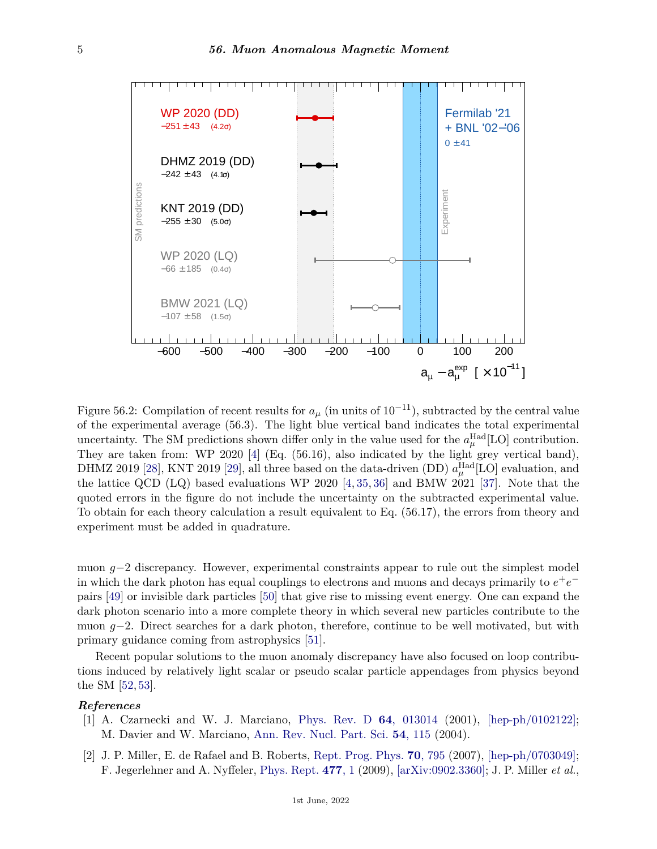

Figure 56.2: Compilation of recent results for  $a_{\mu}$  (in units of  $10^{-11}$ ), subtracted by the central value of the experimental average (56.3). The light blue vertical band indicates the total experimental uncertainty. The SM predictions shown differ only in the value used for the  $a_{\mu}^{\text{Had}}[\text{LO}]$  contribution. They are taken from: WP 2020 [\[4\]](#page-5-0) (Eq. (56.16), also indicated by the light grey vertical band), DHMZ 2019 [\[28\]](#page-6-7), KNT 2019 [\[29\]](#page-6-5), all three based on the data-driven (DD)  $a_\mu^{\rm Had}[\rm LO]$  evaluation, and the lattice QCD (LQ) based evaluations WP 2020 [\[4,](#page-5-0) [35,](#page-6-12) [36\]](#page-6-13) and BMW 2021 [\[37\]](#page-6-14). Note that the quoted errors in the figure do not include the uncertainty on the subtracted experimental value. To obtain for each theory calculation a result equivalent to Eq. (56.17), the errors from theory and experiment must be added in quadrature.

muon *g*−2 discrepancy. However, experimental constraints appear to rule out the simplest model in which the dark photon has equal couplings to electrons and muons and decays primarily to  $e^+e^$ pairs [\[49\]](#page-7-4) or invisible dark particles [\[50\]](#page-7-5) that give rise to missing event energy. One can expand the dark photon scenario into a more complete theory in which several new particles contribute to the muon *g*−2. Direct searches for a dark photon, therefore, continue to be well motivated, but with primary guidance coming from astrophysics [\[51\]](#page-7-6).

Recent popular solutions to the muon anomaly discrepancy have also focused on loop contributions induced by relatively light scalar or pseudo scalar particle appendages from physics beyond the SM [\[52,](#page-7-7) [53\]](#page-7-8).

## <span id="page-4-0"></span>*References*

- [1] A. Czarnecki and W. J. Marciano, [Phys. Rev. D](http://doi.org/10.1103/PhysRevD.64.013014) **64**[, 013014](http://doi.org/10.1103/PhysRevD.64.013014) (2001), [\[hep-ph/0102122\];](https://arxiv.org/abs/hep-ph/0102122) M. Davier and W. Marciano, [Ann. Rev. Nucl. Part. Sci.](http://doi.org/10.1146/annurev.nucl.54.070103.181204) **54**[, 115](http://doi.org/10.1146/annurev.nucl.54.070103.181204) (2004).
- <span id="page-4-1"></span>[2] J. P. Miller, E. de Rafael and B. Roberts, [Rept. Prog. Phys.](http://doi.org/10.1088/0034-4885/70/5/R03) **70**[, 795](http://doi.org/10.1088/0034-4885/70/5/R03) (2007), [\[hep-ph/0703049\];](https://arxiv.org/abs/hep-ph/0703049) F. Jegerlehner and A. Nyffeler, [Phys. Rept.](http://doi.org/10.1016/j.physrep.2009.04.003) **[477](http://doi.org/10.1016/j.physrep.2009.04.003)**, 1 (2009), [\[arXiv:0902.3360\];](https://arxiv.org/abs/0902.3360) J. P. Miller *et al.*,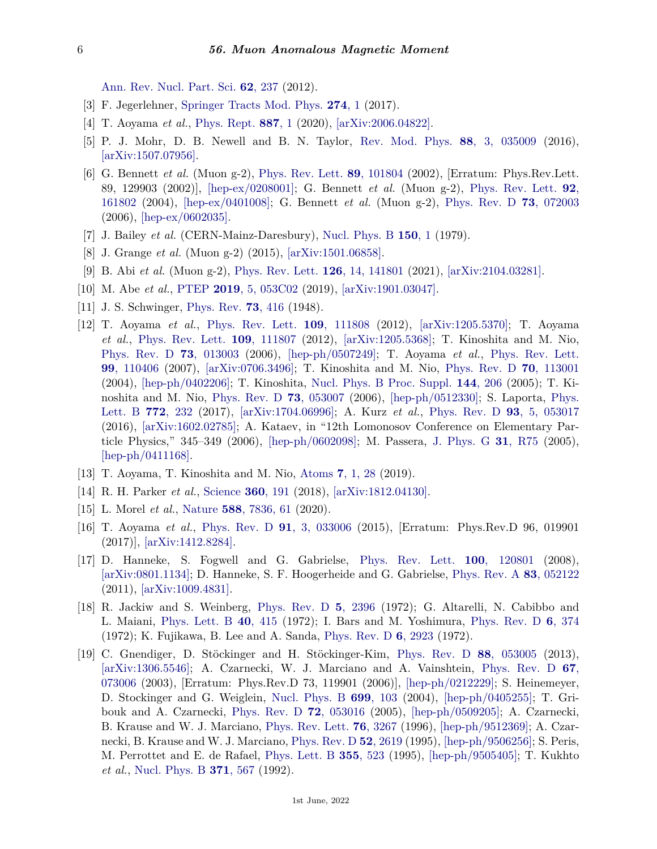[Ann. Rev. Nucl. Part. Sci.](http://doi.org/10.1146/annurev-nucl-031312-120340) **62**[, 237](http://doi.org/10.1146/annurev-nucl-031312-120340) (2012).

- <span id="page-5-16"></span>[3] F. Jegerlehner, [Springer Tracts Mod. Phys.](http://doi.org/10.1007/978-3-319-63577-4) **[274](http://doi.org/10.1007/978-3-319-63577-4)**, 1 (2017).
- <span id="page-5-0"></span>[4] T. Aoyama *et al.*, [Phys. Rept.](http://doi.org/10.1016/j.physrep.2020.07.006) **[887](http://doi.org/10.1016/j.physrep.2020.07.006)**, 1 (2020), [\[arXiv:2006.04822\].](https://arxiv.org/abs/2006.04822)
- <span id="page-5-2"></span>[5] P. J. Mohr, D. B. Newell and B. N. Taylor, [Rev. Mod. Phys.](http://doi.org/10.1103/RevModPhys.88.035009) **88**[, 3, 035009](http://doi.org/10.1103/RevModPhys.88.035009) (2016), [\[arXiv:1507.07956\].](https://arxiv.org/abs/1507.07956)
- <span id="page-5-1"></span>[6] G. Bennett *et al.* (Muon g-2), [Phys. Rev. Lett.](http://doi.org/10.1103/PhysRevLett.89.101804) **89**[, 101804](http://doi.org/10.1103/PhysRevLett.89.101804) (2002), [Erratum: Phys.Rev.Lett. 89, 129903 (2002)], [\[hep-ex/0208001\];](https://arxiv.org/abs/hep-ex/0208001) G. Bennett *et al.* (Muon g-2), [Phys. Rev. Lett.](http://doi.org/10.1103/PhysRevLett.92.161802) **[92](http://doi.org/10.1103/PhysRevLett.92.161802)**, [161802](http://doi.org/10.1103/PhysRevLett.92.161802) (2004), [\[hep-ex/0401008\];](https://arxiv.org/abs/hep-ex/0401008) G. Bennett *et al.* (Muon g-2), [Phys. Rev. D](http://doi.org/10.1103/PhysRevD.73.072003) **73**[, 072003](http://doi.org/10.1103/PhysRevD.73.072003) (2006), [\[hep-ex/0602035\].](https://arxiv.org/abs/hep-ex/0602035)
- <span id="page-5-3"></span>[7] J. Bailey *et al.* (CERN-Mainz-Daresbury), [Nucl. Phys. B](http://doi.org/10.1016/0550-3213(79)90292-X) **[150](http://doi.org/10.1016/0550-3213(79)90292-X)**, 1 (1979).
- <span id="page-5-4"></span>[8] J. Grange *et al.* (Muon g-2) (2015), [\[arXiv:1501.06858\].](https://arxiv.org/abs/1501.06858)
- <span id="page-5-5"></span>[9] B. Abi *et al.* (Muon g-2), [Phys. Rev. Lett.](http://doi.org/10.1103/PhysRevLett.126.141801) **126**[, 14, 141801](http://doi.org/10.1103/PhysRevLett.126.141801) (2021), [\[arXiv:2104.03281\].](https://arxiv.org/abs/2104.03281)
- <span id="page-5-7"></span><span id="page-5-6"></span>[10] M. Abe *et al.*, [PTEP](http://doi.org/10.1093/ptep/ptz030) **2019**[, 5, 053C02](http://doi.org/10.1093/ptep/ptz030) (2019), [\[arXiv:1901.03047\].](https://arxiv.org/abs/1901.03047)
- <span id="page-5-8"></span>[11] J. S. Schwinger, [Phys. Rev.](http://doi.org/10.1103/PhysRev.73.416) **73**[, 416](http://doi.org/10.1103/PhysRev.73.416) (1948).
- [12] T. Aoyama *et al.*, [Phys. Rev. Lett.](http://doi.org/10.1103/PhysRevLett.109.111808) **109**[, 111808](http://doi.org/10.1103/PhysRevLett.109.111808) (2012), [\[arXiv:1205.5370\];](https://arxiv.org/abs/1205.5370) T. Aoyama *et al.*, [Phys. Rev. Lett.](http://doi.org/10.1103/PhysRevLett.109.111807) **109**[, 111807](http://doi.org/10.1103/PhysRevLett.109.111807) (2012), [\[arXiv:1205.5368\];](https://arxiv.org/abs/1205.5368) T. Kinoshita and M. Nio, [Phys. Rev. D](http://doi.org/10.1103/PhysRevD.73.013003) **73**[, 013003](http://doi.org/10.1103/PhysRevD.73.013003) (2006), [\[hep-ph/0507249\];](https://arxiv.org/abs/hep-ph/0507249) T. Aoyama *et al.*, [Phys. Rev. Lett.](http://doi.org/10.1103/PhysRevLett.99.110406) **99**[, 110406](http://doi.org/10.1103/PhysRevLett.99.110406) (2007), [\[arXiv:0706.3496\];](https://arxiv.org/abs/0706.3496) T. Kinoshita and M. Nio, [Phys. Rev. D](http://doi.org/10.1103/PhysRevD.70.113001) **70**[, 113001](http://doi.org/10.1103/PhysRevD.70.113001) (2004), [\[hep-ph/0402206\];](https://arxiv.org/abs/hep-ph/0402206) T. Kinoshita, [Nucl. Phys. B Proc. Suppl.](http://doi.org/10.1016/j.nuclphysbps.2005.02.029) **144**[, 206](http://doi.org/10.1016/j.nuclphysbps.2005.02.029) (2005); T. Kinoshita and M. Nio, [Phys. Rev. D](http://doi.org/10.1103/PhysRevD.73.053007) **73**[, 053007](http://doi.org/10.1103/PhysRevD.73.053007) (2006), [\[hep-ph/0512330\];](https://arxiv.org/abs/hep-ph/0512330) S. Laporta, [Phys.](http://doi.org/10.1016/j.physletb.2017.06.056) [Lett. B](http://doi.org/10.1016/j.physletb.2017.06.056) **772**[, 232](http://doi.org/10.1016/j.physletb.2017.06.056) (2017), [\[arXiv:1704.06996\];](https://arxiv.org/abs/1704.06996) A. Kurz *et al.*, [Phys. Rev. D](http://doi.org/10.1103/PhysRevD.93.053017) **93**[, 5, 053017](http://doi.org/10.1103/PhysRevD.93.053017) (2016), [\[arXiv:1602.02785\];](https://arxiv.org/abs/1602.02785) A. Kataev, in "12th Lomonosov Conference on Elementary Particle Physics," 345–349 (2006), [\[hep-ph/0602098\];](https://arxiv.org/abs/hep-ph/0602098) M. Passera, [J. Phys. G](http://doi.org/10.1088/0954-3899/31/5/R01) **31**[, R75](http://doi.org/10.1088/0954-3899/31/5/R01) (2005), [\[hep-ph/0411168\].](https://arxiv.org/abs/hep-ph/0411168)
- <span id="page-5-9"></span>[13] T. Aoyama, T. Kinoshita and M. Nio, [Atoms](http://doi.org/10.3390/atoms7010028) **7**[, 1, 28](http://doi.org/10.3390/atoms7010028) (2019).
- <span id="page-5-10"></span>[14] R. H. Parker *et al.*, [Science](http://doi.org/10.1126/science.aap7706) **360**[, 191](http://doi.org/10.1126/science.aap7706) (2018), [\[arXiv:1812.04130\].](https://arxiv.org/abs/1812.04130)
- <span id="page-5-13"></span>[15] L. Morel *et al.*, [Nature](http://doi.org/10.1038/s41586-020-2964-7) **588**[, 7836, 61](http://doi.org/10.1038/s41586-020-2964-7) (2020).
- <span id="page-5-14"></span>[16] T. Aoyama *et al.*, [Phys. Rev. D](http://doi.org/10.1103/PhysRevD.91.033006) **91**[, 3, 033006](http://doi.org/10.1103/PhysRevD.91.033006) (2015), [Erratum: Phys.Rev.D 96, 019901 (2017)], [\[arXiv:1412.8284\].](https://arxiv.org/abs/1412.8284)
- <span id="page-5-15"></span>[17] D. Hanneke, S. Fogwell and G. Gabrielse, [Phys. Rev. Lett.](http://doi.org/10.1103/PhysRevLett.100.120801) **100**[, 120801](http://doi.org/10.1103/PhysRevLett.100.120801) (2008), [\[arXiv:0801.1134\];](https://arxiv.org/abs/0801.1134) D. Hanneke, S. F. Hoogerheide and G. Gabrielse, [Phys. Rev. A](http://doi.org/10.1103/PhysRevA.83.052122) **83**[, 052122](http://doi.org/10.1103/PhysRevA.83.052122) (2011), [\[arXiv:1009.4831\].](https://arxiv.org/abs/1009.4831)
- <span id="page-5-11"></span>[18] R. Jackiw and S. Weinberg, [Phys. Rev. D](http://doi.org/10.1103/PhysRevD.5.2396) **5**[, 2396](http://doi.org/10.1103/PhysRevD.5.2396) (1972); G. Altarelli, N. Cabibbo and L. Maiani, [Phys. Lett. B](http://doi.org/10.1016/0370-2693(72)90833-7) **40**[, 415](http://doi.org/10.1016/0370-2693(72)90833-7) (1972); I. Bars and M. Yoshimura, [Phys. Rev. D](http://doi.org/10.1103/PhysRevD.6.374) **6**[, 374](http://doi.org/10.1103/PhysRevD.6.374) (1972); K. Fujikawa, B. Lee and A. Sanda, [Phys. Rev. D](http://doi.org/10.1103/PhysRevD.6.2923) **6**[, 2923](http://doi.org/10.1103/PhysRevD.6.2923) (1972).
- <span id="page-5-12"></span>[19] C. Gnendiger, D. Stöckinger and H. Stöckinger-Kim, [Phys. Rev. D](http://doi.org/10.1103/PhysRevD.88.053005) **88**[, 053005](http://doi.org/10.1103/PhysRevD.88.053005) (2013), [\[arXiv:1306.5546\];](https://arxiv.org/abs/1306.5546) A. Czarnecki, W. J. Marciano and A. Vainshtein, [Phys. Rev. D](http://doi.org/10.1103/PhysRevD.67.073006) **[67](http://doi.org/10.1103/PhysRevD.67.073006)**, [073006](http://doi.org/10.1103/PhysRevD.67.073006) (2003), [Erratum: Phys.Rev.D 73, 119901 (2006)], [\[hep-ph/0212229\];](https://arxiv.org/abs/hep-ph/0212229) S. Heinemeyer, D. Stockinger and G. Weiglein, [Nucl. Phys. B](http://doi.org/10.1016/j.nuclphysb.2004.08.014) **699**[, 103](http://doi.org/10.1016/j.nuclphysb.2004.08.014) (2004), [\[hep-ph/0405255\];](https://arxiv.org/abs/hep-ph/0405255) T. Gribouk and A. Czarnecki, [Phys. Rev. D](http://doi.org/10.1103/PhysRevD.72.053016) **72**[, 053016](http://doi.org/10.1103/PhysRevD.72.053016) (2005), [\[hep-ph/0509205\];](https://arxiv.org/abs/hep-ph/0509205) A. Czarnecki, B. Krause and W. J. Marciano, [Phys. Rev. Lett.](http://doi.org/10.1103/PhysRevLett.76.3267) **76**[, 3267](http://doi.org/10.1103/PhysRevLett.76.3267) (1996), [\[hep-ph/9512369\];](https://arxiv.org/abs/hep-ph/9512369) A. Czarnecki, B. Krause and W. J. Marciano, [Phys. Rev. D](http://doi.org/10.1103/PhysRevD.52.R2619) **52**[, 2619](http://doi.org/10.1103/PhysRevD.52.R2619) (1995), [\[hep-ph/9506256\];](https://arxiv.org/abs/hep-ph/9506256) S. Peris, M. Perrottet and E. de Rafael, [Phys. Lett. B](http://doi.org/10.1016/0370-2693(95)00768-G) **355**[, 523](http://doi.org/10.1016/0370-2693(95)00768-G) (1995), [\[hep-ph/9505405\];](https://arxiv.org/abs/hep-ph/9505405) T. Kukhto *et al.*, [Nucl. Phys. B](http://doi.org/10.1016/0550-3213(92)90687-7) **371**[, 567](http://doi.org/10.1016/0550-3213(92)90687-7) (1992).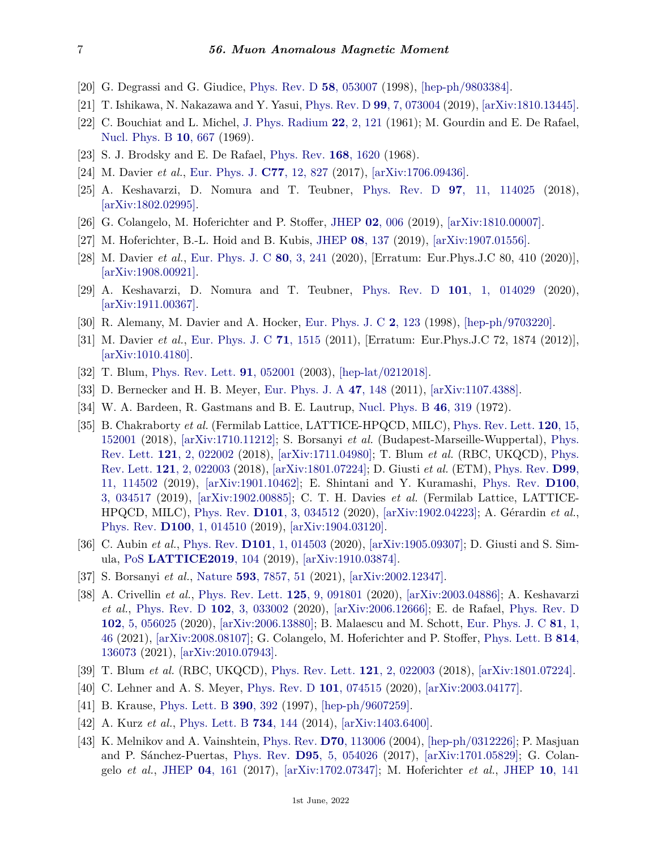- <span id="page-6-0"></span>[20] G. Degrassi and G. Giudice, [Phys. Rev. D](http://doi.org/10.1103/PhysRevD.58.053007) **58**[, 053007](http://doi.org/10.1103/PhysRevD.58.053007) (1998), [\[hep-ph/9803384\].](https://arxiv.org/abs/hep-ph/9803384)
- <span id="page-6-1"></span>[21] T. Ishikawa, N. Nakazawa and Y. Yasui, [Phys. Rev. D](http://doi.org/10.1103/PhysRevD.99.073004) **99**[, 7, 073004](http://doi.org/10.1103/PhysRevD.99.073004) (2019), [\[arXiv:1810.13445\].](https://arxiv.org/abs/1810.13445)
- <span id="page-6-2"></span>[22] C. Bouchiat and L. Michel, [J. Phys. Radium](http://doi.org/10.1051/jphysrad:01961002202012101) **22**[, 2, 121](http://doi.org/10.1051/jphysrad:01961002202012101) (1961); M. Gourdin and E. De Rafael, [Nucl. Phys. B](http://doi.org/10.1016/0550-3213(69)90333-2) **10**[, 667](http://doi.org/10.1016/0550-3213(69)90333-2) (1969).
- <span id="page-6-3"></span>[23] S. J. Brodsky and E. De Rafael, [Phys. Rev.](http://doi.org/10.1103/PhysRev.168.1620) **168**[, 1620](http://doi.org/10.1103/PhysRev.168.1620) (1968).
- <span id="page-6-4"></span>[24] M. Davier *et al.*, [Eur. Phys. J.](http://doi.org/10.1140/epjc/s10052-017-5161-6) **C77**[, 12, 827](http://doi.org/10.1140/epjc/s10052-017-5161-6) (2017), [\[arXiv:1706.09436\].](https://arxiv.org/abs/1706.09436)
- [25] A. Keshavarzi, D. Nomura and T. Teubner, [Phys. Rev. D](http://doi.org/10.1103/PhysRevD.97.114025) **97**[, 11, 114025](http://doi.org/10.1103/PhysRevD.97.114025) (2018), [\[arXiv:1802.02995\].](https://arxiv.org/abs/1802.02995)
- <span id="page-6-6"></span>[26] G. Colangelo, M. Hoferichter and P. Stoffer, [JHEP](http://doi.org/10.1007/JHEP02(2019)006) **02**[, 006](http://doi.org/10.1007/JHEP02(2019)006) (2019), [\[arXiv:1810.00007\].](https://arxiv.org/abs/1810.00007)
- [27] M. Hoferichter, B.-L. Hoid and B. Kubis, [JHEP](http://doi.org/10.1007/JHEP08(2019)137) **08**[, 137](http://doi.org/10.1007/JHEP08(2019)137) (2019), [\[arXiv:1907.01556\].](https://arxiv.org/abs/1907.01556)
- <span id="page-6-7"></span>[28] M. Davier *et al.*, [Eur. Phys. J. C](http://doi.org/10.1140/epjc/s10052-020-7792-2) **80**[, 3, 241](http://doi.org/10.1140/epjc/s10052-020-7792-2) (2020), [Erratum: Eur.Phys.J.C 80, 410 (2020)], [\[arXiv:1908.00921\].](https://arxiv.org/abs/1908.00921)
- <span id="page-6-5"></span>[29] A. Keshavarzi, D. Nomura and T. Teubner, [Phys. Rev. D](http://doi.org/10.1103/PhysRevD.101.014029) **101**[, 1, 014029](http://doi.org/10.1103/PhysRevD.101.014029) (2020), [\[arXiv:1911.00367\].](https://arxiv.org/abs/1911.00367)
- <span id="page-6-8"></span>[30] R. Alemany, M. Davier and A. Hocker, [Eur. Phys. J. C](http://doi.org/10.1007/s100520050127) **2**[, 123](http://doi.org/10.1007/s100520050127) (1998), [\[hep-ph/9703220\].](https://arxiv.org/abs/hep-ph/9703220)
- <span id="page-6-9"></span>[31] M. Davier *et al.*, [Eur. Phys. J. C](http://doi.org/10.1140/epjc/s10052-012-1874-8) **71**[, 1515](http://doi.org/10.1140/epjc/s10052-012-1874-8) (2011), [Erratum: Eur.Phys.J.C 72, 1874 (2012)], [\[arXiv:1010.4180\].](https://arxiv.org/abs/1010.4180)
- <span id="page-6-10"></span>[32] T. Blum, [Phys. Rev. Lett.](http://doi.org/10.1103/PhysRevLett.91.052001) **91**[, 052001](http://doi.org/10.1103/PhysRevLett.91.052001) (2003), [\[hep-lat/0212018\].](https://arxiv.org/abs/hep-lat/0212018)
- [33] D. Bernecker and H. B. Meyer, [Eur. Phys. J. A](http://doi.org/10.1140/epja/i2011-11148-6) **47**[, 148](http://doi.org/10.1140/epja/i2011-11148-6) (2011), [\[arXiv:1107.4388\].](https://arxiv.org/abs/1107.4388)
- <span id="page-6-11"></span>[34] W. A. Bardeen, R. Gastmans and B. E. Lautrup, [Nucl. Phys. B](http://doi.org/10.1016/0550-3213(72)90218-0) **46**[, 319](http://doi.org/10.1016/0550-3213(72)90218-0) (1972).
- <span id="page-6-12"></span>[35] B. Chakraborty *et al.* (Fermilab Lattice, LATTICE-HPQCD, MILC), [Phys. Rev. Lett.](http://doi.org/10.1103/PhysRevLett.120.152001) **120**[, 15,](http://doi.org/10.1103/PhysRevLett.120.152001) [152001](http://doi.org/10.1103/PhysRevLett.120.152001) (2018), [\[arXiv:1710.11212\];](https://arxiv.org/abs/1710.11212) S. Borsanyi *et al.* (Budapest-Marseille-Wuppertal), [Phys.](http://doi.org/10.1103/PhysRevLett.121.022002) [Rev. Lett.](http://doi.org/10.1103/PhysRevLett.121.022002) **121**[, 2, 022002](http://doi.org/10.1103/PhysRevLett.121.022002) (2018), [\[arXiv:1711.04980\];](https://arxiv.org/abs/1711.04980) T. Blum *et al.* (RBC, UKQCD), [Phys.](http://doi.org/10.1103/PhysRevLett.121.022003) [Rev. Lett.](http://doi.org/10.1103/PhysRevLett.121.022003) **121**[, 2, 022003](http://doi.org/10.1103/PhysRevLett.121.022003) (2018), [\[arXiv:1801.07224\];](https://arxiv.org/abs/1801.07224) D. Giusti *et al.* (ETM), [Phys. Rev.](http://doi.org/10.1103/PhysRevD.99.114502) **[D99](http://doi.org/10.1103/PhysRevD.99.114502)**, [11, 114502](http://doi.org/10.1103/PhysRevD.99.114502) (2019), [\[arXiv:1901.10462\];](https://arxiv.org/abs/1901.10462) E. Shintani and Y. Kuramashi, [Phys. Rev.](http://doi.org/10.1103/PhysRevD.100.034517) **[D100](http://doi.org/10.1103/PhysRevD.100.034517)**, [3, 034517](http://doi.org/10.1103/PhysRevD.100.034517) (2019), [\[arXiv:1902.00885\];](https://arxiv.org/abs/1902.00885) C. T. H. Davies *et al.* (Fermilab Lattice, LATTICE-HPQCD, MILC), [Phys. Rev.](http://doi.org/10.1103/PhysRevD.101.034512) **D101**[, 3, 034512](http://doi.org/10.1103/PhysRevD.101.034512) (2020), [\[arXiv:1902.04223\];](https://arxiv.org/abs/1902.04223) A. Gérardin *et al.*, [Phys. Rev.](http://doi.org/10.1103/PhysRevD.100.014510) **D100**[, 1, 014510](http://doi.org/10.1103/PhysRevD.100.014510) (2019), [\[arXiv:1904.03120\].](https://arxiv.org/abs/1904.03120)
- <span id="page-6-13"></span>[36] C. Aubin *et al.*, [Phys. Rev.](http://doi.org/10.1103/PhysRevD.101.014503) **D101**[, 1, 014503](http://doi.org/10.1103/PhysRevD.101.014503) (2020), [\[arXiv:1905.09307\];](https://arxiv.org/abs/1905.09307) D. Giusti and S. Simula, [PoS](http://doi.org/10.22323/1.363.0104) **[LATTICE2019](http://doi.org/10.22323/1.363.0104)**, 104 (2019), [\[arXiv:1910.03874\].](https://arxiv.org/abs/1910.03874)
- <span id="page-6-14"></span>[37] S. Borsanyi *et al.*, [Nature](http://doi.org/10.1038/s41586-021-03418-1) **593**[, 7857, 51](http://doi.org/10.1038/s41586-021-03418-1) (2021), [\[arXiv:2002.12347\].](https://arxiv.org/abs/2002.12347)
- <span id="page-6-17"></span>[38] A. Crivellin *et al.*, [Phys. Rev. Lett.](http://doi.org/10.1103/PhysRevLett.125.091801) **125**[, 9, 091801](http://doi.org/10.1103/PhysRevLett.125.091801) (2020), [\[arXiv:2003.04886\];](https://arxiv.org/abs/2003.04886) A. Keshavarzi *et al.*, [Phys. Rev. D](http://doi.org/10.1103/PhysRevD.102.033002) **102**[, 3, 033002](http://doi.org/10.1103/PhysRevD.102.033002) (2020), [\[arXiv:2006.12666\];](https://arxiv.org/abs/2006.12666) E. de Rafael, [Phys. Rev. D](http://doi.org/10.1103/PhysRevD.102.056025) **102**[, 5, 056025](http://doi.org/10.1103/PhysRevD.102.056025) (2020), [\[arXiv:2006.13880\];](https://arxiv.org/abs/2006.13880) B. Malaescu and M. Schott, [Eur. Phys. J. C](http://doi.org/10.1140/epjc/s10052-021-08848-9) **81**[, 1,](http://doi.org/10.1140/epjc/s10052-021-08848-9) [46](http://doi.org/10.1140/epjc/s10052-021-08848-9) (2021), [\[arXiv:2008.08107\];](https://arxiv.org/abs/2008.08107) G. Colangelo, M. Hoferichter and P. Stoffer, [Phys. Lett. B](http://doi.org/10.1016/j.physletb.2021.136073) **[814](http://doi.org/10.1016/j.physletb.2021.136073)**, [136073](http://doi.org/10.1016/j.physletb.2021.136073) (2021), [\[arXiv:2010.07943\].](https://arxiv.org/abs/2010.07943)
- <span id="page-6-15"></span>[39] T. Blum *et al.* (RBC, UKQCD), [Phys. Rev. Lett.](http://doi.org/10.1103/PhysRevLett.121.022003) **121**[, 2, 022003](http://doi.org/10.1103/PhysRevLett.121.022003) (2018), [\[arXiv:1801.07224\].](https://arxiv.org/abs/1801.07224)
- <span id="page-6-16"></span>[40] C. Lehner and A. S. Meyer, [Phys. Rev. D](http://doi.org/10.1103/PhysRevD.101.074515) **101**[, 074515](http://doi.org/10.1103/PhysRevD.101.074515) (2020), [\[arXiv:2003.04177\].](https://arxiv.org/abs/2003.04177)
- <span id="page-6-18"></span>[41] B. Krause, [Phys. Lett. B](http://doi.org/10.1016/S0370-2693(96)01346-9) **390**[, 392](http://doi.org/10.1016/S0370-2693(96)01346-9) (1997), [\[hep-ph/9607259\].](https://arxiv.org/abs/hep-ph/9607259)
- <span id="page-6-19"></span>[42] A. Kurz *et al.*, [Phys. Lett. B](http://doi.org/10.1016/j.physletb.2014.05.043) **734**[, 144](http://doi.org/10.1016/j.physletb.2014.05.043) (2014), [\[arXiv:1403.6400\].](https://arxiv.org/abs/1403.6400)
- <span id="page-6-20"></span>[43] K. Melnikov and A. Vainshtein, [Phys. Rev.](http://doi.org/10.1103/PhysRevD.70.113006) **D70**[, 113006](http://doi.org/10.1103/PhysRevD.70.113006) (2004), [\[hep-ph/0312226\];](https://arxiv.org/abs/hep-ph/0312226) P. Masjuan and P. Sánchez-Puertas, [Phys. Rev.](http://doi.org/10.1103/PhysRevD.95.054026) **D95**[, 5, 054026](http://doi.org/10.1103/PhysRevD.95.054026) (2017), [\[arXiv:1701.05829\];](https://arxiv.org/abs/1701.05829) G. Colangelo *et al.*, [JHEP](http://doi.org/10.1007/JHEP04(2017)161) **04**[, 161](http://doi.org/10.1007/JHEP04(2017)161) (2017), [\[arXiv:1702.07347\];](https://arxiv.org/abs/1702.07347) M. Hoferichter *et al.*, [JHEP](http://doi.org/10.1007/JHEP10(2018)141) **10**[, 141](http://doi.org/10.1007/JHEP10(2018)141)